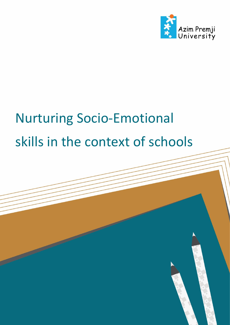

# Nurturing Socio-Emotional skills in the context of schools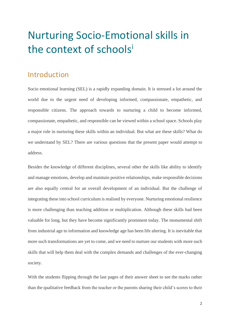## Nurturing Socio-Emotional skills in the context of schoolsi

### Introduction

Socio emotional learning (SEL) is a rapidly expanding domain. It is stressed a lot around the world due to the urgent need of developing informed, compassionate, empathetic, and responsible citizens. The approach towards to nurturing a child to become informed, compassionate, empathetic, and responsible can be viewed within a school space. Schools play a major role in nurturing these skills within an individual. But what are these skills? What do we understand by SEL? There are various questions that the present paper would attempt to address.

Besides the knowledge of different disciplines, several other the skills like ability to identify and manage emotions, develop and maintain positive relationships, make responsible decisions are also equally central for an overall development of an individual. But the challenge of integrating these into school curriculum is realised by everyone. Nurturing emotional resilience is more challenging than teaching addition or multiplication. Although these skills had been valuable for long, but they have become significantly prominent today. The monumental shift from industrial age to information and knowledge age has been life altering. It is inevitable that more such transformations are yet to come, and we need to nurture our students with more such skills that will help them deal with the complex demands and challenges of the ever-changing society.

With the students flipping through the last pages of their answer sheet to see the marks rather than the qualitative feedback from the teacher or the parents sharing their child's scores to their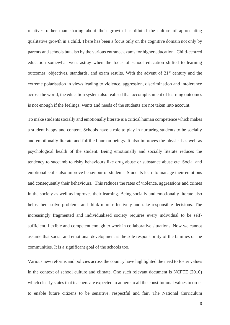relatives rather than sharing about their growth has diluted the culture of appreciating qualitative growth in a child. There has been a focus only on the cognitive domain not only by parents and schools but also by the various entrance exams for higher education. Child-centred education somewhat went astray when the focus of school education shifted to learning outcomes, objectives, standards, and exam results. With the advent of  $21<sup>st</sup>$  century and the extreme polarisation in views leading to violence, aggression, discrimination and intolerance across the world, the education system also realised that accomplishment of learning outcomes is not enough if the feelings, wants and needs of the students are not taken into account.

To make students socially and emotionally literate is a critical human competence which makes a student happy and content. Schools have a role to play in nurturing students to be socially and emotionally literate and fulfilled human-beings. It also improves the physical as well as psychological health of the student. Being emotionally and socially literate reduces the tendency to succumb to risky behaviours like drug abuse or substance abuse etc. Social and emotional skills also improve behaviour of students. Students learn to manage their emotions and consequently their behaviours. This reduces the rates of violence, aggressions and crimes in the society as well as improves their learning. Being socially and emotionally literate also helps them solve problems and think more effectively and take responsible decisions. The increasingly fragmented and individualised society requires every individual to be selfsufficient, flexible and competent enough to work in collaborative situations. Now we cannot assume that social and emotional development is the sole responsibility of the families or the communities. It is a significant goal of the schools too.

Various new reforms and policies across the country have highlighted the need to foster values in the context of school culture and climate. One such relevant document is NCFTE (2010) which clearly states that teachers are expected to adhere to all the constitutional values in order to enable future citizens to be sensitive, respectful and fair. The National Curriculum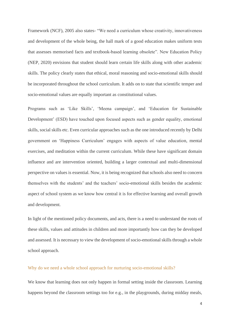Framework (NCF), 2005 also states- "We need a curriculum whose creativity, innovativeness and development of the whole being, the hall mark of a good education makes uniform tests that assesses memorised facts and textbook-based learning obsolete". New Education Policy (NEP, 2020) envisions that student should learn certain life skills along with other academic skills. The policy clearly states that ethical, moral reasoning and socio-emotional skills should be incorporated throughout the school curriculum. It adds on to state that scientific temper and socio-emotional values are equally important as constitutional values.

Programs such as 'Like Skills', 'Meena campaign', and 'Education for Sustainable Development' (ESD) have touched upon focused aspects such as gender equality, emotional skills, social skills etc. Even curricular approaches such as the one introduced recently by Delhi government on 'Happiness Curriculum' engages with aspects of value education, mental exercises, and meditation within the current curriculum. While these have significant domain influence and are intervention oriented, building a larger contextual and multi-dimensional perspective on values is essential. Now, it is being recognized that schools also need to concern themselves with the students' and the teachers' socio-emotional skills besides the academic aspect of school system as we know how central it is for effective learning and overall growth and development.

In light of the mentioned policy documents, and acts, there is a need to understand the roots of these skills, values and attitudes in children and more importantly how can they be developed and assessed. It is necessary to view the development of socio-emotional skills through a whole school approach.

#### Why do we need a whole school approach for nurturing socio-emotional skills?

We know that learning does not only happen in formal setting inside the classroom. Learning happens beyond the classroom settings too for e.g., in the playgrounds, during midday meals,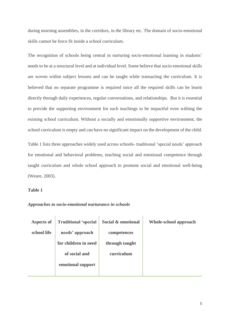during morning assemblies, in the corridors, in the library etc. The domain of socio-emotional skills cannot be force fit inside a school curriculum.

The recognition of schools being central in nurturing socio-emotional learning in students' needs to be at a structural level and at individual level. Some believe that socio emotional skills are woven within subject lessons and can be taught while transacting the curriculum. It is believed that no separate programme is required since all the required skills can be learnt directly through daily experiences, regular conversations, and relationships. But it is essential to provide the supporting environment for such teachings to be impactful even withing the existing school curriculum. Without a socially and emotionally supportive environment, the school curriculum is empty and can have no significant impact on the development of the child.

Table 1 lists three approaches widely used across schools- traditional 'special needs' approach for emotional and behavioral problems, teaching social and emotional competence through taught curriculum and whole school approach to promote social and emotional well-being (Weare, 2003).

#### **Table 1**

*Approaches to socio-emotional nurturance in schools*

| Aspects of  | <b>Traditional 'special</b> | Social & emotional | Whole-school approach |
|-------------|-----------------------------|--------------------|-----------------------|
| school life | needs' approach             | competences        |                       |
|             | for children in need        | through taught     |                       |
|             | of social and               | curriculum         |                       |
|             | emotional support           |                    |                       |
|             |                             |                    |                       |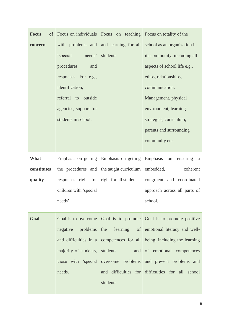| <b>Focus</b><br>of <sub>1</sub> | Focus on individuals                       | Focus on teaching                       | Focus on totality of the                                           |
|---------------------------------|--------------------------------------------|-----------------------------------------|--------------------------------------------------------------------|
| concern                         | with problems and                          | and learning for all                    | school as an organization in                                       |
|                                 | 'special needs'                            | students                                | its community, including all                                       |
|                                 | procedures<br>and                          |                                         | aspects of school life e.g.,                                       |
|                                 | responses. For e.g.,                       |                                         | ethos, relationships,                                              |
|                                 | identification,                            |                                         | communication.                                                     |
|                                 | referral to outside                        |                                         | Management, physical                                               |
|                                 | agencies, support for                      |                                         | environment, learning                                              |
|                                 | students in school.                        |                                         | strategies, curriculum,                                            |
|                                 |                                            |                                         | parents and surrounding                                            |
|                                 |                                            |                                         | community etc.                                                     |
|                                 |                                            |                                         |                                                                    |
| What                            |                                            | Emphasis on getting Emphasis on getting | Emphasis on ensuring a                                             |
| constitutes                     | the procedures and                         | the taught curriculum                   | embedded,<br>coherent                                              |
| quality                         | responses right for right for all students |                                         | congruent and coordinated                                          |
|                                 | children with 'special                     |                                         | approach across all parts of                                       |
|                                 | needs'                                     |                                         | school.                                                            |
|                                 |                                            |                                         |                                                                    |
| Goal                            |                                            |                                         | Goal is to overcome Goal is to promote Goal is to promote positive |
|                                 | negative problems                          | the learning<br>of <sub>l</sub>         | emotional literacy and well-                                       |
|                                 | and difficulties in a                      |                                         | competences for all being, including the learning                  |
|                                 | majority of students,                      | students<br>and                         | of emotional competences                                           |
|                                 | those with 'special                        | overcome problems                       | and prevent problems and                                           |
|                                 | needs.                                     | and difficulties for                    | difficulties for all school                                        |
|                                 |                                            | students                                |                                                                    |
|                                 |                                            |                                         |                                                                    |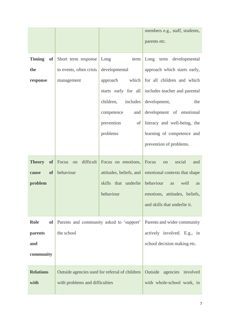|                            |                                                |                         | members e.g., staff, students,                     |
|----------------------------|------------------------------------------------|-------------------------|----------------------------------------------------|
|                            |                                                |                         | parents etc.                                       |
|                            |                                                |                         |                                                    |
| <b>Timing</b><br>of        | Short term response                            | Long<br>term            | Long term developmental                            |
| the                        | to events, often crisis                        | developmental           | approach which starts early,                       |
| response                   | management                                     | which<br>approach       | for all children and which                         |
|                            |                                                |                         | starts early for all includes teacher and parental |
|                            |                                                | includes<br>children,   | development,<br>the                                |
|                            |                                                | competence<br>and       | development of emotional                           |
|                            |                                                | prevention<br>of        | literacy and well-being, the                       |
|                            |                                                | problems                | learning of competence and                         |
|                            |                                                |                         | prevention of problems.                            |
|                            |                                                |                         |                                                    |
| <b>Theory</b><br>$\bf{of}$ | difficult<br>Focus<br>on                       | Focus on emotions,      | Focus<br>social<br>and<br>on                       |
| <b>of</b><br>cause         | behaviour                                      | attitudes, beliefs, and | emotional contexts that shape                      |
| problem                    |                                                | skills that underlie    | behaviour<br>well<br>as<br><b>as</b>               |
|                            |                                                | behaviour               | emotions, attitudes, beliefs,                      |
|                            |                                                |                         | and skills that underlie it.                       |
|                            |                                                |                         |                                                    |
| Role<br>оf                 | Parents and community asked to 'support'       |                         | Parents and wider community                        |
| parents                    | the school                                     |                         | actively involved. E.g., in                        |
| and                        |                                                |                         | school decision making etc.                        |
| community                  |                                                |                         |                                                    |
|                            |                                                |                         |                                                    |
| <b>Relations</b>           | Outside agencies used for referral of children |                         | Outside<br>agencies involved                       |
| with                       | with problems and difficulties                 |                         | with whole-school work, in                         |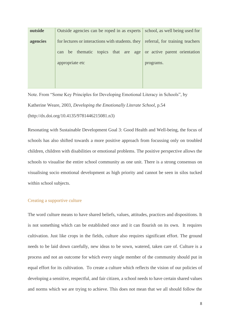| outside  | Outside agencies can be roped in as experts      | school, as well being used for  |
|----------|--------------------------------------------------|---------------------------------|
| agencies | for lectures or interactions with students, they | referral, for training teachers |
|          | be thematic topics that are age<br>can           | or active parent orientation    |
|          | appropriate etc                                  | programs.                       |
|          |                                                  |                                 |
|          |                                                  |                                 |

Note. From "Some Key Principles for Developing Emotional Literacy in Schools", by Katherine Weare, 2003, *Developing the Emotionally Literate School*, p.54 (http://dx.doi.org/10.4135/9781446215081.n3)

Resonating with Sustainable Development Goal 3: Good Health and Well-being, the focus of schools has also shifted towards a more positive approach from focussing only on troubled children, children with disabilities or emotional problems. The positive perspective allows the schools to visualise the entire school community as one unit. There is a strong consensus on visualising socio emotional development as high priority and cannot be seen in silos tucked within school subjects.

#### Creating a supportive culture

The word culture means to have shared beliefs, values, attitudes, practices and dispositions. It is not something which can be established once and it can flourish on its own. It requires cultivation. Just like crops in the fields, culture also requires significant effort. The ground needs to be laid down carefully, new ideas to be sown, watered, taken care of. Culture is a process and not an outcome for which every single member of the community should put in equal effort for its cultivation. To create a culture which reflects the vision of our policies of developing a sensitive, respectful, and fair citizen, a school needs to have certain shared values and norms which we are trying to achieve. This does not mean that we all should follow the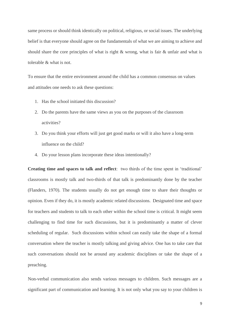same process or should think identically on political, religious, or social issues. The underlying belief is that everyone should agree on the fundamentals of what we are aiming to achieve and should share the core principles of what is right & wrong, what is fair & unfair and what is tolerable & what is not.

To ensure that the entire environment around the child has a common consensus on values and attitudes one needs to ask these questions:

- 1. Has the school initiated this discussion?
- 2. Do the parents have the same views as you on the purposes of the classroom activities?
- 3. Do you think your efforts will just get good marks or will it also have a long-term influence on the child?
- 4. Do your lesson plans incorporate these ideas intentionally?

**Creating time and spaces to talk and reflect**: two thirds of the time spent in 'traditional' classrooms is mostly talk and two-thirds of that talk is predominantly done by the teacher (Flanders, 1970). The students usually do not get enough time to share their thoughts or opinion. Even if they do, it is mostly academic related discussions. Designated time and space for teachers and students to talk to each other within the school time is critical. It might seem challenging to find time for such discussions, but it is predominantly a matter of clever scheduling of regular. Such discussions within school can easily take the shape of a formal conversation where the teacher is mostly talking and giving advice. One has to take care that such conversations should not be around any academic disciplines or take the shape of a preaching.

Non-verbal communication also sends various messages to children. Such messages are a significant part of communication and learning. It is not only what you say to your children is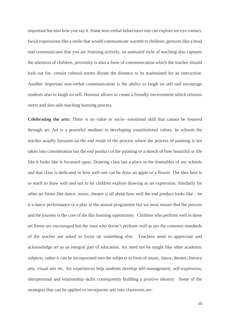important but also how you say it. Some non-verbal behaviours one can explore are eye contact, facial expressions like a smile that would communicate warmth to children, gestures like a head nod communicates that you are listening actively, an animated style of teaching also captures the attention of children, proximity is also a form of communication which the teacher should look out for- certain cultural norms dictate the distance to be maintained for an interaction. Another important non-verbal communication is the ability to laugh on self and encourage students also to laugh on self. Humour allows to create a friendly environment which releases stress and also aids teaching learning process.

**Celebrating the arts:** There is no value or socio- emotional skill that cannot be fostered through art. Art is a powerful medium in developing constitutional values. In schools the teacher usually focusses on the end result of the process where the process of painting is not taken into consideration but the end product of the painting or a sketch of how beautiful or life like it looks like is focussed upon. Drawing class has a place in the timetables of our schools and that class is dedicated to how well one can be draw an apple or a flower. The idea here is to teach to draw well and not to let children explore drawing as an expression. Similarly for other art forms like dance, music, theatre is all about how well the end product looks like – be it a dance performance or a play in the annual programme but we must ensure that the process and the journey is the core of the this learning opportunity. Children who perform well in these art forms are encouraged but the ones who doesn't perform well as per the common standards of the teacher are asked to focus on something else. Teachers need to appreciate and acknowledge art as an integral part of education. Art need not be taught like other academic subjects, rather it can be incorporated into the subjects in form of music, dance, theatre, literary arts, visual arts etc. Art experiences help students develop self-management, self-expression, interpersonal and relationship skills consequently building a positive identity. Some of the strategies that can be applied to incorporate arts into classroom are: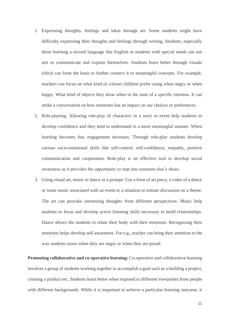- 1. Expressing thoughts, feelings and ideas through art: Some students might have difficulty expressing their thoughts and feelings through writing. Students, especially those learning a second language like English or students with special needs can use arts to communicate and explain themselves. Students learn better through visuals which can form the basis to further connect it to meaningful concepts. For example, teachers can focus on what kind of colours children prefer using when angry or when happy. What kind of objects they draw when in the state of a specific emotion. It can strike a conversation on how emotions has an impact on our choices or preferences.
- 2. Role-playing: Allowing role-play of characters in a story or event help students to develop confidence and they tend to understand in a more meaningful manner. When learning becomes fun, engagement increases. Through role-play students develop various socio-emotional skills like self-control, self-confidence, empathy, positive communication and cooperation. Role-play is an effective tool to develop social awareness as it provides the opportunity to step into someone else's shoes.
- 3. Using visual art, music or dance as a prompt: Use a form of art piece, a video of a dance or some music associated with an event or a situation to initiate discussion on a theme. The art can provoke interesting thoughts from different perspectives. Music help students to focus and develop active listening skills necessary to build relationships. Dance allows the students to relate their body with their emotions. Recognizing their emotions helps develop self-awareness. For e.g., teacher can bring their attention to the way students move when they are angry or when they are proud.

**Promoting collaborative and co-operative learning:** Co-operative and collaborative learning involves a group of students working together to accomplish a goal such as a building a project, creating a product etc. Students learn better when exposed to different viewpoints from people with different backgrounds. While it is important to achieve a particular learning outcome, it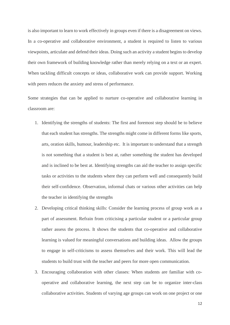is also important to learn to work effectively in groups even if there is a disagreement on views. In a co-operative and collaborative environment, a student is required to listen to various viewpoints, articulate and defend their ideas. Doing such an activity a student begins to develop their own framework of building knowledge rather than merely relying on a text or an expert. When tackling difficult concepts or ideas, collaborative work can provide support. Working with peers reduces the anxiety and stress of performance.

Some strategies that can be applied to nurture co-operative and collaborative learning in classroom are:

- 1. Identifying the strengths of students: The first and foremost step should be to believe that each student has strengths. The strengths might come in different forms like sports, arts, oration skills, humour, leadership etc. It is important to understand that a strength is not something that a student is best at, rather something the student has developed and is inclined to be best at. Identifying strengths can aid the teacher to assign specific tasks or activities to the students where they can perform well and consequently build their self-confidence. Observation, informal chats or various other activities can help the teacher in identifying the strengths
- 2. Developing critical thinking skills: Consider the learning process of group work as a part of assessment. Refrain from criticising a particular student or a particular group rather assess the process. It shows the students that co-operative and collaborative learning is valued for meaningful conversations and building ideas. Allow the groups to engage in self-criticisms to assess themselves and their work. This will lead the students to build trust with the teacher and peers for more open communication.
- 3. Encouraging collaboration with other classes: When students are familiar with cooperative and collaborative learning, the next step can be to organize inter-class collaborative activities. Students of varying age groups can work on one project or one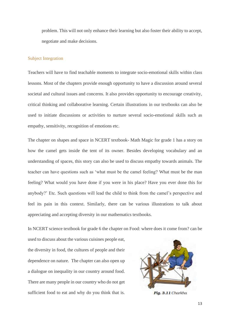problem. This will not only enhance their learning but also foster their ability to accept, negotiate and make decisions.

#### Subject Integration

Teachers will have to find teachable moments to integrate socio-emotional skills within class lessons. Most of the chapters provide enough opportunity to have a discussion around several societal and cultural issues and concerns. It also provides opportunity to encourage creativity, critical thinking and collaborative learning. Certain illustrations in our textbooks can also be used to initiate discussions or activities to nurture several socio-emotional skills such as empathy, sensitivity, recognition of emotions etc.

The chapter on shapes and space in NCERT textbook- Math Magic for grade 1 has a story on how the camel gets inside the tent of its owner. Besides developing vocabulary and an understanding of spaces, this story can also be used to discuss empathy towards animals. The teacher can have questions such as 'what must be the camel feeling? What must be the man feeling? What would you have done if you were in his place? Have you ever done this for anybody?' Etc. Such questions will lead the child to think from the camel's perspective and feel its pain in this context. Similarly, there can be various illustrations to talk about appreciating and accepting diversity in our mathematics textbooks.

In NCERT science textbook for grade 6 the chapter on Food: where does it come from? can be

used to discuss about the various cuisines people eat, the diversity in food, the cultures of people and their dependence on nature. The chapter can also open up a dialogue on inequality in our country around food. There are many people in our country who do not get sufficient food to eat and why do you think that is.



Fig. 3.11 Charkha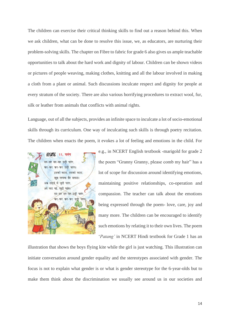The children can exercise their critical thinking skills to find out a reason behind this. When we ask children, what can be done to resolve this issue, we, as educators, are nurturing their problem-solving skills. The chapter on Fibre to fabric for grade 6 also gives us ample teachable opportunities to talk about the hard work and dignity of labour. Children can be shown videos or pictures of people weaving, making clothes, knitting and all the labour involved in making a cloth from a plant or animal. Such discussions inculcate respect and dignity for people at every stratum of the society. There are also various horrifying procedures to extract wool, fur, silk or leather from animals that conflicts with animal rights.

Language, out of all the subjects, provides an infinite space to inculcate a lot of socio-emotional skills through its curriculum. One way of inculcating such skills is through poetry recitation. The children when enacts the poem, it evokes a lot of feeling and emotions in the child. For



e.g., in NCERT English textbook -marigold for grade 2 the poem "Granny Granny, please comb my hair" has a lot of scope for discussion around identifying emotions, maintaining positive relationships, co-operation and compassion. The teacher can talk about the emotions being expressed through the poem- love, care, joy and many more. The children can be encouraged to identify such emotions by relating it to their own lives. The poem '*Patang'* in NCERT Hindi textbook for Grade 1 has an

illustration that shows the boys flying kite while the girl is just watching. This illustration can initiate conversation around gender equality and the stereotypes associated with gender. The focus is not to explain what gender is or what is gender stereotype for the 6-year-olds but to make them think about the discrimination we usually see around us in our societies and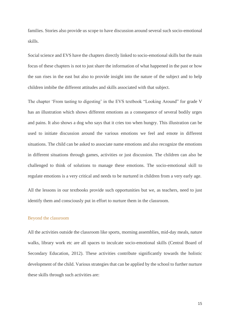families. Stories also provide us scope to have discussion around several such socio-emotional skills.

Social science and EVS have the chapters directly linked to socio-emotional skills but the main focus of these chapters is not to just share the information of what happened in the past or how the sun rises in the east but also to provide insight into the nature of the subject and to help children imbibe the different attitudes and skills associated with that subject.

The chapter 'From tasting to digesting' in the EVS textbook "Looking Around" for grade V has an illustration which shows different emotions as a consequence of several bodily urges and pains. It also shows a dog who says that it cries too when hungry. This illustration can be used to initiate discussion around the various emotions we feel and emote in different situations. The child can be asked to associate name emotions and also recognize the emotions in different situations through games, activities or just discussion. The children can also be challenged to think of solutions to manage these emotions. The socio-emotional skill to regulate emotions is a very critical and needs to be nurtured in children from a very early age.

All the lessons in our textbooks provide such opportunities but we, as teachers, need to just identify them and consciously put in effort to nurture them in the classroom.

#### Beyond the classroom

All the activities outside the classroom like sports, morning assemblies, mid-day meals, nature walks, library work etc are all spaces to inculcate socio-emotional skills (Central Board of Secondary Education, 2012). These activities contribute significantly towards the holistic development of the child. Various strategies that can be applied by the school to further nurture these skills through such activities are: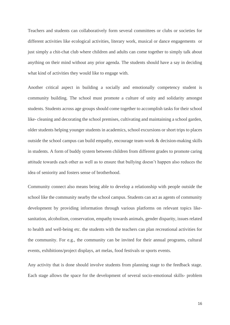Teachers and students can collaboratively form several committees or clubs or societies for different activities like ecological activities, literary work, musical or dance engagements or just simply a chit-chat club where children and adults can come together to simply talk about anything on their mind without any prior agenda. The students should have a say in deciding what kind of activities they would like to engage with.

Another critical aspect in building a socially and emotionally competency student is community building. The school must promote a culture of unity and solidarity amongst students. Students across age groups should come together to accomplish tasks for their school like- cleaning and decorating the school premises, cultivating and maintaining a school garden, older students helping younger students in academics, school excursions or short trips to places outside the school campus can build empathy, encourage team-work & decision-making skills in students. A form of buddy system between children from different grades to promote caring attitude towards each other as well as to ensure that bullying doesn't happen also reduces the idea of seniority and fosters sense of brotherhood.

Community connect also means being able to develop a relationship with people outside the school like the community nearby the school campus. Students can act as agents of community development by providing information through various platforms on relevant topics likesanitation, alcoholism, conservation, empathy towards animals, gender disparity, issues related to health and well-being etc. the students with the teachers can plan recreational activities for the community. For e.g., the community can be invited for their annual programs, cultural events, exhibitions/project displays, art melas, food festivals or sports events.

Any activity that is done should involve students from planning stage to the feedback stage. Each stage allows the space for the development of several socio-emotional skills- problem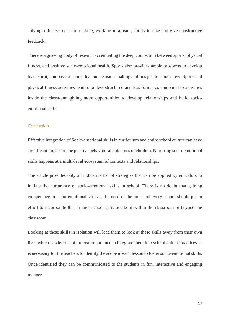solving, effective decision making, working in a team, ability to take and give constructive feedback.

There is a growing body of research accentuating the deep connection between sports, physical fitness, and positive socio-emotional health. Sports also provides ample prospects to develop team spirit, compassion, empathy, and decision-making abilities just to name a few. Sports and physical fitness activities tend to be less structured and less formal as compared to activities inside the classroom giving more opportunities to develop relationships and build socioemotional skills.

#### Conclusion

Effective integration of Socio-emotional skills in curriculum and entire school culture can have significant impact on the positive behavioural outcomes of children. Nurturing socio-emotional skills happens at a multi-level ecosystem of contexts and relationships.

The article provides only an indicative list of strategies that can be applied by educators to initiate the nurturance of socio-emotional skills in school. There is no doubt that gaining competence in socio-emotional skills is the need of the hour and every school should put in effort to incorporate this in their school activities be it within the classroom or beyond the classroom.

Looking at these skills in isolation will lead them to look at these skills away from their own lives which is why it is of utmost importance to integrate them into school culture practices. It is necessary for the teachers to identify the scope in each lesson to foster socio-emotional skills. Once identified they can be communicated to the students in fun, interactive and engaging manner.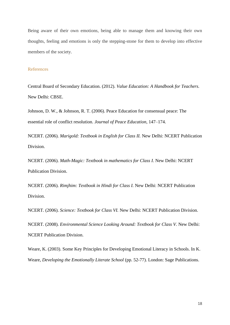Being aware of their own emotions, being able to manage them and knowing their own thoughts, feeling and emotions is only the stepping-stone for them to develop into effective members of the society.

#### References

Central Board of Secondary Education. (2012). *Value Education: A Handbook for Teachers.* New Delhi: CBSE.

Johnson, D. W., & Johnson, R. T. (2006). Peace Education for consensual peace: The essential role of conflict resolution. *Journal of Peace Education*, 147–174.

NCERT. (2006). *Marigold: Textbook in English for Class II.* New Delhi: NCERT Publication Division.

NCERT. (2006). *Math-Magic: Textbook in mathematics for Class I.* New Delhi: NCERT Publication Division.

NCERT. (2006). *Rimjhim: Textbook in Hindi for Class I.* New Delhi: NCERT Publication Division.

NCERT. (2006). *Science: Textbook for Class VI.* New Delhi: NCERT Publication Division.

NCERT. (2008). *Environmental Science Looking Around: Textbook for Class V.* New Delhi: NCERT Publication Division.

Weare, K. (2003). Some Key Principles for Developing Emotional Literacy in Schools. In K. Weare, *Developing the Emotionally Literate School* (pp. 52-77). London: Sage Publications.